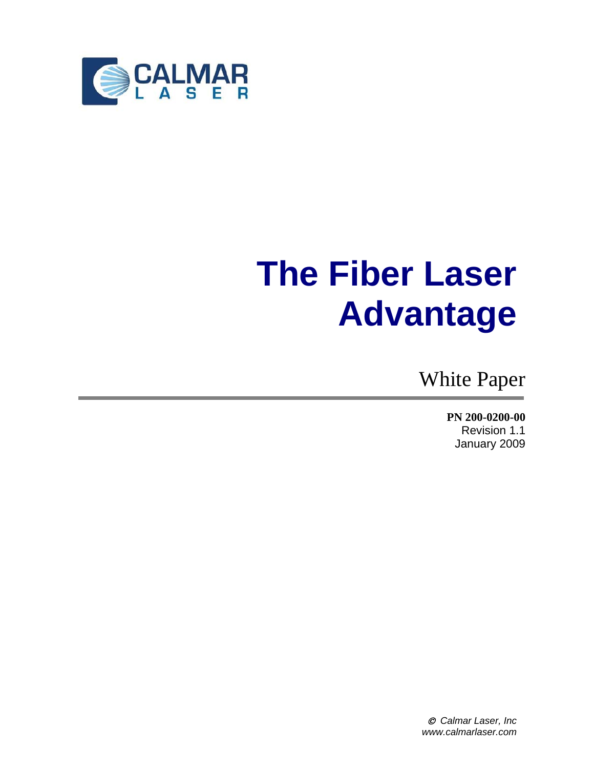

# **The Fiber Laser Advantage**

White Paper

**PN 200-0200-00** Revision 1.1 January 2009

© *Calmar Laser, Inc www.calmarlaser.com*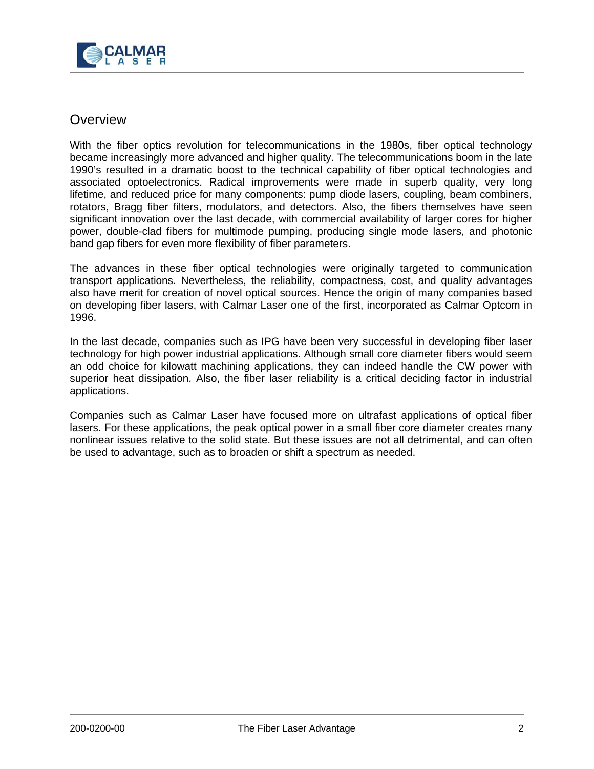

#### **Overview**

With the fiber optics revolution for telecommunications in the 1980s, fiber optical technology became increasingly more advanced and higher quality. The telecommunications boom in the late 1990's resulted in a dramatic boost to the technical capability of fiber optical technologies and associated optoelectronics. Radical improvements were made in superb quality, very long lifetime, and reduced price for many components: pump diode lasers, coupling, beam combiners, rotators, Bragg fiber filters, modulators, and detectors. Also, the fibers themselves have seen significant innovation over the last decade, with commercial availability of larger cores for higher power, double-clad fibers for multimode pumping, producing single mode lasers, and photonic band gap fibers for even more flexibility of fiber parameters.

The advances in these fiber optical technologies were originally targeted to communication transport applications. Nevertheless, the reliability, compactness, cost, and quality advantages also have merit for creation of novel optical sources. Hence the origin of many companies based on developing fiber lasers, with Calmar Laser one of the first, incorporated as Calmar Optcom in 1996.

In the last decade, companies such as IPG have been very successful in developing fiber laser technology for high power industrial applications. Although small core diameter fibers would seem an odd choice for kilowatt machining applications, they can indeed handle the CW power with superior heat dissipation. Also, the fiber laser reliability is a critical deciding factor in industrial applications.

Companies such as Calmar Laser have focused more on ultrafast applications of optical fiber lasers. For these applications, the peak optical power in a small fiber core diameter creates many nonlinear issues relative to the solid state. But these issues are not all detrimental, and can often be used to advantage, such as to broaden or shift a spectrum as needed.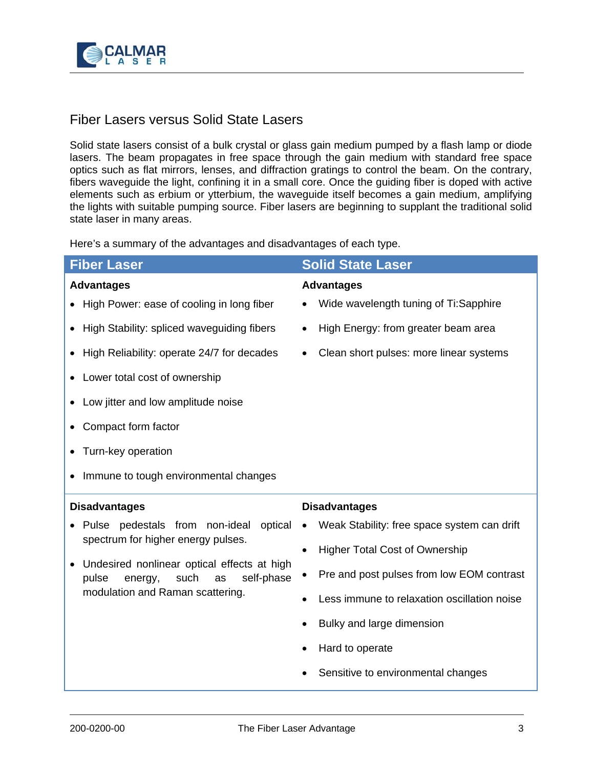

### Fiber Lasers versus Solid State Lasers

Solid state lasers consist of a bulk crystal or glass gain medium pumped by a flash lamp or diode lasers. The beam propagates in free space through the gain medium with standard free space optics such as flat mirrors, lenses, and diffraction gratings to control the beam. On the contrary, fibers waveguide the light, confining it in a small core. Once the guiding fiber is doped with active elements such as erbium or ytterbium, the waveguide itself becomes a gain medium, amplifying the lights with suitable pumping source. Fiber lasers are beginning to supplant the traditional solid state laser in many areas.

Here's a summary of the advantages and disadvantages of each type.

| <b>Fiber Laser</b>                                                                                                                                                                                                 | <b>Solid State Laser</b>                             |
|--------------------------------------------------------------------------------------------------------------------------------------------------------------------------------------------------------------------|------------------------------------------------------|
| <b>Advantages</b>                                                                                                                                                                                                  | <b>Advantages</b>                                    |
| High Power: ease of cooling in long fiber                                                                                                                                                                          | Wide wavelength tuning of Ti:Sapphire                |
| High Stability: spliced waveguiding fibers                                                                                                                                                                         | High Energy: from greater beam area<br>$\bullet$     |
| High Reliability: operate 24/7 for decades                                                                                                                                                                         | Clean short pulses: more linear systems<br>$\bullet$ |
| Lower total cost of ownership                                                                                                                                                                                      |                                                      |
| Low jitter and low amplitude noise                                                                                                                                                                                 |                                                      |
| Compact form factor                                                                                                                                                                                                |                                                      |
| Turn-key operation                                                                                                                                                                                                 |                                                      |
| Immune to tough environmental changes                                                                                                                                                                              |                                                      |
| <b>Disadvantages</b>                                                                                                                                                                                               | <b>Disadvantages</b>                                 |
| Pulse pedestals from non-ideal<br>optical<br>spectrum for higher energy pulses.<br>Undesired nonlinear optical effects at high<br>such<br>self-phase<br>pulse<br>as<br>energy,<br>modulation and Raman scattering. | Weak Stability: free space system can drift          |
|                                                                                                                                                                                                                    | <b>Higher Total Cost of Ownership</b><br>$\bullet$   |
|                                                                                                                                                                                                                    | Pre and post pulses from low EOM contrast            |
|                                                                                                                                                                                                                    | Less immune to relaxation oscillation noise          |
|                                                                                                                                                                                                                    | Bulky and large dimension                            |
|                                                                                                                                                                                                                    | Hard to operate                                      |
|                                                                                                                                                                                                                    | Sensitive to environmental changes                   |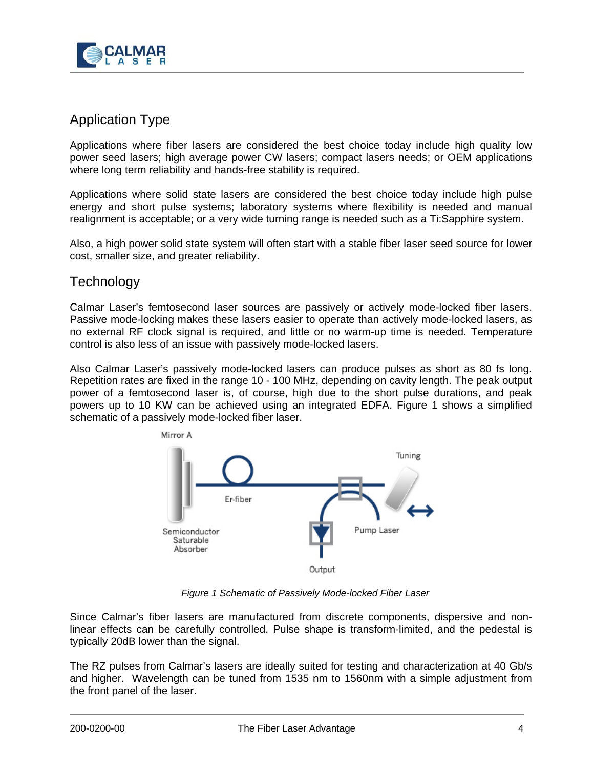

## Application Type

Applications where fiber lasers are considered the best choice today include high quality low power seed lasers; high average power CW lasers; compact lasers needs; or OEM applications where long term reliability and hands-free stability is required.

Applications where solid state lasers are considered the best choice today include high pulse energy and short pulse systems; laboratory systems where flexibility is needed and manual realignment is acceptable; or a very wide turning range is needed such as a Ti:Sapphire system.

Also, a high power solid state system will often start with a stable fiber laser seed source for lower cost, smaller size, and greater reliability.

#### **Technology**

Calmar Laser's femtosecond laser sources are passively or actively mode-locked fiber lasers. Passive mode-locking makes these lasers easier to operate than actively mode-locked lasers, as no external RF clock signal is required, and little or no warm-up time is needed. Temperature control is also less of an issue with passively mode-locked lasers.

Also Calmar Laser's passively mode-locked lasers can produce pulses as short as 80 fs long. Repetition rates are fixed in the range 10 - 100 MHz, depending on cavity length. The peak output power of a femtosecond laser is, of course, high due to the short pulse durations, and peak powers up to 10 KW can be achieved using an integrated EDFA. Figure 1 shows a simplified schematic of a passively mode-locked fiber laser.



*Figure 1 Schematic of Passively Mode-locked Fiber Laser*

Since Calmar's fiber lasers are manufactured from discrete components, dispersive and nonlinear effects can be carefully controlled. Pulse shape is transform-limited, and the pedestal is typically 20dB lower than the signal.

The RZ pulses from Calmar's lasers are ideally suited for testing and characterization at 40 Gb/s and higher. Wavelength can be tuned from 1535 nm to 1560nm with a simple adjustment from the front panel of the laser.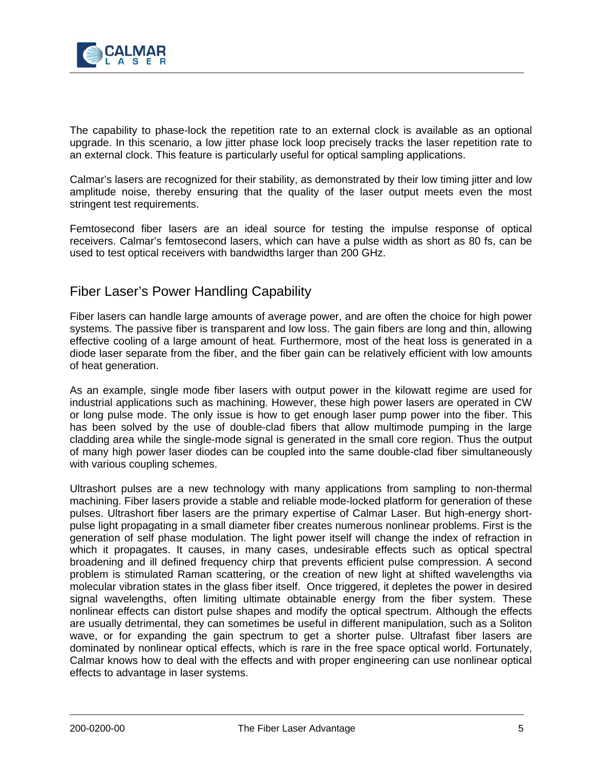

The capability to phase-lock the repetition rate to an external clock is available as an optional upgrade. In this scenario, a low jitter phase lock loop precisely tracks the laser repetition rate to an external clock. This feature is particularly useful for optical sampling applications.

Calmar's lasers are recognized for their stability, as demonstrated by their low timing jitter and low amplitude noise, thereby ensuring that the quality of the laser output meets even the most stringent test requirements.

Femtosecond fiber lasers are an ideal source for testing the impulse response of optical receivers. Calmar's femtosecond lasers, which can have a pulse width as short as 80 fs, can be used to test optical receivers with bandwidths larger than 200 GHz.

#### Fiber Laser's Power Handling Capability

Fiber lasers can handle large amounts of average power, and are often the choice for high power systems. The passive fiber is transparent and low loss. The gain fibers are long and thin, allowing effective cooling of a large amount of heat. Furthermore, most of the heat loss is generated in a diode laser separate from the fiber, and the fiber gain can be relatively efficient with low amounts of heat generation.

As an example, single mode fiber lasers with output power in the kilowatt regime are used for industrial applications such as machining. However, these high power lasers are operated in CW or long pulse mode. The only issue is how to get enough laser pump power into the fiber. This has been solved by the use of double-clad fibers that allow multimode pumping in the large cladding area while the single-mode signal is generated in the small core region. Thus the output of many high power laser diodes can be coupled into the same double-clad fiber simultaneously with various coupling schemes.

Ultrashort pulses are a new technology with many applications from sampling to non-thermal machining. Fiber lasers provide a stable and reliable mode-locked platform for generation of these pulses. Ultrashort fiber lasers are the primary expertise of Calmar Laser. But high-energy shortpulse light propagating in a small diameter fiber creates numerous nonlinear problems. First is the generation of self phase modulation. The light power itself will change the index of refraction in which it propagates. It causes, in many cases, undesirable effects such as optical spectral broadening and ill defined frequency chirp that prevents efficient pulse compression. A second problem is stimulated Raman scattering, or the creation of new light at shifted wavelengths via molecular vibration states in the glass fiber itself. Once triggered, it depletes the power in desired signal wavelengths, often limiting ultimate obtainable energy from the fiber system. These nonlinear effects can distort pulse shapes and modify the optical spectrum. Although the effects are usually detrimental, they can sometimes be useful in different manipulation, such as a Soliton wave, or for expanding the gain spectrum to get a shorter pulse. Ultrafast fiber lasers are dominated by nonlinear optical effects, which is rare in the free space optical world. Fortunately, Calmar knows how to deal with the effects and with proper engineering can use nonlinear optical effects to advantage in laser systems.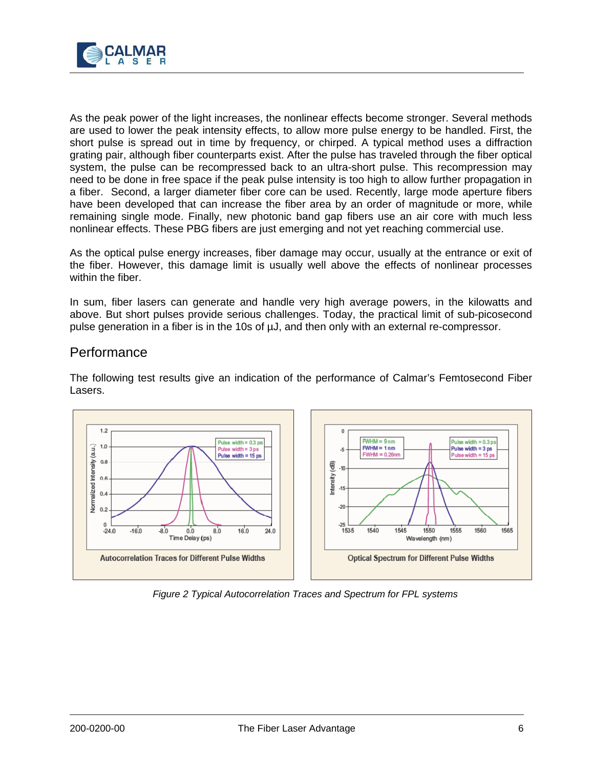

As the peak power of the light increases, the nonlinear effects become stronger. Several methods are used to lower the peak intensity effects, to allow more pulse energy to be handled. First, the short pulse is spread out in time by frequency, or chirped. A typical method uses a diffraction grating pair, although fiber counterparts exist. After the pulse has traveled through the fiber optical system, the pulse can be recompressed back to an ultra-short pulse. This recompression may need to be done in free space if the peak pulse intensity is too high to allow further propagation in a fiber. Second, a larger diameter fiber core can be used. Recently, large mode aperture fibers have been developed that can increase the fiber area by an order of magnitude or more, while remaining single mode. Finally, new photonic band gap fibers use an air core with much less nonlinear effects. These PBG fibers are just emerging and not yet reaching commercial use.

As the optical pulse energy increases, fiber damage may occur, usually at the entrance or exit of the fiber. However, this damage limit is usually well above the effects of nonlinear processes within the fiber.

In sum, fiber lasers can generate and handle very high average powers, in the kilowatts and above. But short pulses provide serious challenges. Today, the practical limit of sub-picosecond pulse generation in a fiber is in the 10s of µJ, and then only with an external re-compressor.

#### **Performance**

The following test results give an indication of the performance of Calmar's Femtosecond Fiber Lasers.



*Figure 2 Typical Autocorrelation Traces and Spectrum for FPL systems*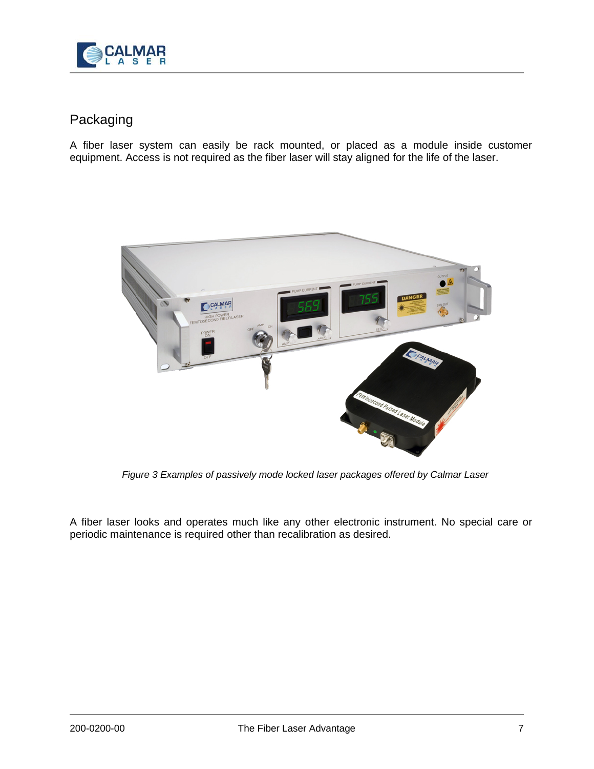

## Packaging

A fiber laser system can easily be rack mounted, or placed as a module inside customer equipment. Access is not required as the fiber laser will stay aligned for the life of the laser.



*Figure 3 Examples of passively mode locked laser packages offered by Calmar Laser*

A fiber laser looks and operates much like any other electronic instrument. No special care or periodic maintenance is required other than recalibration as desired.